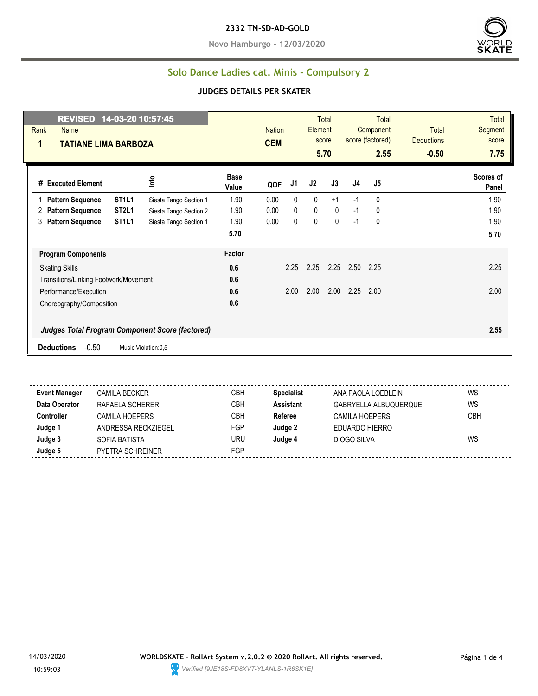**Novo Hamburgo - 12/03/2020**



### **Solo Dance Ladies cat. Minis - Compulsory 2**

#### **JUDGES DETAILS PER SKATER**

| REVISED 14-03-20 10:57:45<br>Rank<br>Name<br>$\mathbf 1$<br><b>TATIANE LIMA BARBOZA</b> |                                                        | <b>Nation</b><br><b>CEM</b> |              | <b>Total</b><br>Element<br>score<br>5.70 |      | <b>Total</b><br>Component<br>score (factored)<br>2.55 | Total<br><b>Deductions</b><br>$-0.50$ | <b>Total</b><br>Segment<br>score<br>7.75 |
|-----------------------------------------------------------------------------------------|--------------------------------------------------------|-----------------------------|--------------|------------------------------------------|------|-------------------------------------------------------|---------------------------------------|------------------------------------------|
| Info<br>#<br><b>Executed Element</b>                                                    | <b>Base</b><br>Value                                   | QOE                         | J1<br>J2     | J3                                       | J4   | J5                                                    |                                       | Scores of<br>Panel                       |
| ST <sub>1</sub> L <sub>1</sub><br><b>Pattern Sequence</b>                               | 1.90<br>Siesta Tango Section 1                         | 0.00                        | $\mathbf{0}$ | $\mathbf{0}$<br>$+1$                     | $-1$ | 0                                                     |                                       | 1.90                                     |
| ST <sub>2L1</sub><br><b>Pattern Sequence</b><br>2                                       | 1.90<br>Siesta Tango Section 2                         | 0.00                        | 0            | 0<br>$\mathbf 0$                         | $-1$ | 0                                                     |                                       | 1.90                                     |
| ST <sub>1</sub> L <sub>1</sub><br><b>Pattern Sequence</b><br>3                          | 1.90<br>Siesta Tango Section 1                         | 0.00                        | 0            | 0<br>$\mathbf 0$                         | $-1$ | 0                                                     |                                       | 1.90                                     |
|                                                                                         | 5.70                                                   |                             |              |                                          |      |                                                       |                                       | 5.70                                     |
| <b>Program Components</b>                                                               | Factor                                                 |                             |              |                                          |      |                                                       |                                       |                                          |
| <b>Skating Skills</b>                                                                   | 0.6                                                    |                             | 2.25<br>2.25 | 2.25                                     | 2.50 | 2.25                                                  |                                       | 2.25                                     |
| Transitions/Linking Footwork/Movement                                                   | 0.6                                                    |                             |              |                                          |      |                                                       |                                       |                                          |
| Performance/Execution                                                                   | 0.6                                                    |                             | 2.00<br>2.00 | 2.00                                     | 2.25 | 2.00                                                  |                                       | 2.00                                     |
| Choreography/Composition                                                                | 0.6                                                    |                             |              |                                          |      |                                                       |                                       |                                          |
|                                                                                         | <b>Judges Total Program Component Score (factored)</b> |                             |              |                                          |      |                                                       |                                       | 2.55                                     |
| $-0.50$<br><b>Deductions</b><br>Music Violation:0.5                                     |                                                        |                             |              |                                          |      |                                                       |                                       |                                          |

**Event Manager** CAMILA BECKER CBH **Specialist** ANA PAOLA LOEBLEIN WS **Data Operator** RAFAELA SCHERER CBH **Assistant** GABRYELLA ALBUQUERQUE WS **Controller** CAMILA HOEPERS CBH **Referee** CAMILA HOEPERS CBH **Judge 1** ANDRESSA RECKZIEGEL FGP **Judge 2** EDUARDO HIERRO **Judge 3** SOFIA BATISTA URU **Judge 4** DIOGO SILVA WS **Judge 5** PYETRA SCHREINER FGP

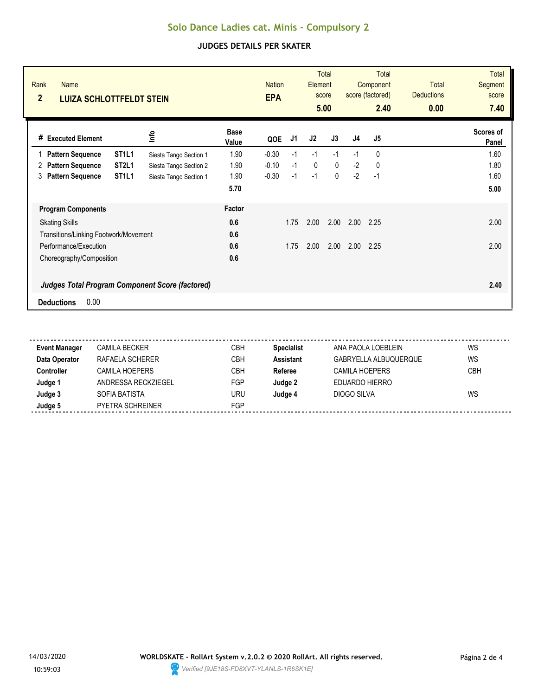# **Solo Dance Ladies cat. Minis - Compulsory 2**

### **JUDGES DETAILS PER SKATER**

| Rank<br><b>Name</b><br>$\overline{2}$<br><b>LUIZA SCHLOTTFELDT STEIN</b> |                                                        |                        |                      | <b>Nation</b><br><b>EPA</b> |      | Element | <b>Total</b><br>score<br>5.00 |      | <b>Total</b><br>Component<br>score (factored)<br>2.40 | <b>Total</b><br><b>Deductions</b><br>0.00 | <b>Total</b><br><b>Segment</b><br>score<br>7.40 |
|--------------------------------------------------------------------------|--------------------------------------------------------|------------------------|----------------------|-----------------------------|------|---------|-------------------------------|------|-------------------------------------------------------|-------------------------------------------|-------------------------------------------------|
| <b>Executed Element</b><br>#                                             |                                                        | lnfo                   | <b>Base</b><br>Value | QOE                         | J1   | J2      | J3                            | J4   | J5                                                    |                                           | Scores of<br>Panel                              |
| <b>Pattern Sequence</b>                                                  | ST <sub>1</sub> L <sub>1</sub>                         | Siesta Tango Section 1 | 1.90                 | $-0.30$                     | $-1$ | $-1$    | $-1$                          | $-1$ | $\mathbf{0}$                                          |                                           | 1.60                                            |
| <b>Pattern Sequence</b><br>2                                             | ST <sub>2L1</sub>                                      | Siesta Tango Section 2 | 1.90                 | $-0.10$                     | $-1$ | 0       | 0                             | $-2$ | 0                                                     |                                           | 1.80                                            |
| <b>Pattern Sequence</b><br>3                                             | ST <sub>1L1</sub>                                      | Siesta Tango Section 1 | 1.90                 | $-0.30$                     | $-1$ | $-1$    | 0                             | $-2$ | $-1$                                                  |                                           | 1.60                                            |
|                                                                          |                                                        |                        | 5.70                 |                             |      |         |                               |      |                                                       |                                           | 5.00                                            |
| <b>Program Components</b>                                                |                                                        |                        | Factor               |                             |      |         |                               |      |                                                       |                                           |                                                 |
| <b>Skating Skills</b>                                                    |                                                        |                        | 0.6                  |                             | 1.75 | 2.00    | 2.00                          | 2.00 | 2.25                                                  |                                           | 2.00                                            |
| Transitions/Linking Footwork/Movement                                    |                                                        |                        | 0.6                  |                             |      |         |                               |      |                                                       |                                           |                                                 |
| Performance/Execution                                                    |                                                        |                        | 0.6                  |                             | 1.75 | 2.00    | 2.00                          | 2.00 | 2.25                                                  |                                           | 2.00                                            |
| Choreography/Composition                                                 |                                                        |                        | 0.6                  |                             |      |         |                               |      |                                                       |                                           |                                                 |
|                                                                          | <b>Judges Total Program Component Score (factored)</b> |                        |                      |                             |      |         |                               |      |                                                       |                                           | 2.40                                            |
| 0.00<br><b>Deductions</b>                                                |                                                        |                        |                      |                             |      |         |                               |      |                                                       |                                           |                                                 |

| <b>Event Manager</b> | <b>CAMILA BECKER</b>  | CBH        | <b>Specialist</b> | ANA PAOLA LOEBLEIN    | WS  |
|----------------------|-----------------------|------------|-------------------|-----------------------|-----|
| Data Operator        | RAFAELA SCHERER       | <b>CBH</b> | <b>Assistant</b>  | GABRYELLA ALBUQUERQUE | WS  |
| <b>Controller</b>    | <b>CAMILA HOEPERS</b> | CBH        | Referee           | CAMILA HOEPERS        | CBH |
| Judge 1              | ANDRESSA RECKZIEGEL   | FGP        | Judge 2           | EDUARDO HIERRO        |     |
| Judge 3              | SOFIA BATISTA         | uru        | Judge 4           | DIOGO SILVA           | WS  |
| Judge 5              | PYETRA SCHREINER      | FGP        |                   |                       |     |
|                      |                       |            |                   |                       |     |

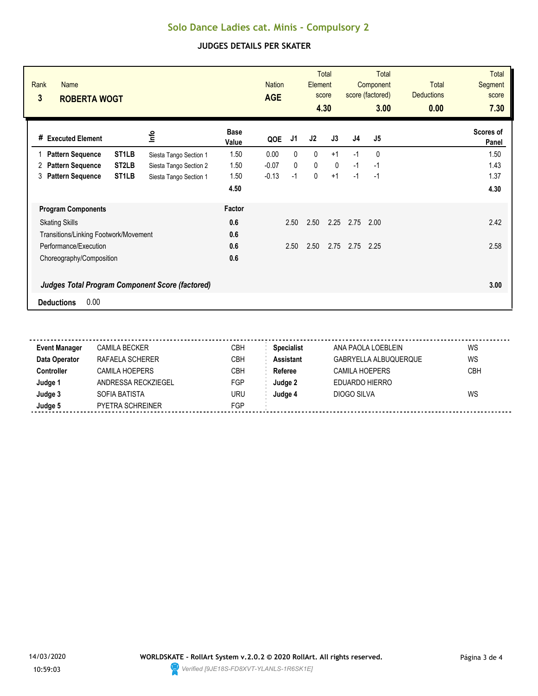# **Solo Dance Ladies cat. Minis - Compulsory 2**

### **JUDGES DETAILS PER SKATER**

| Rank<br><b>Name</b><br>3<br><b>ROBERTA WOGT</b> |                                                        |                        |                      | <b>Nation</b><br><b>AGE</b> |              | Element | <b>Total</b><br>score<br>4.30 |                | Total<br>Component<br>score (factored)<br>3.00 | <b>Total</b><br><b>Deductions</b><br>0.00 | <b>Total</b><br>Segment<br>score<br>7.30 |
|-------------------------------------------------|--------------------------------------------------------|------------------------|----------------------|-----------------------------|--------------|---------|-------------------------------|----------------|------------------------------------------------|-------------------------------------------|------------------------------------------|
| <b>Executed Element</b><br>#                    |                                                        | ٩ų                     | <b>Base</b><br>Value | QOE                         | J1           | J2      | J3                            | J <sub>4</sub> | J5                                             |                                           | Scores of<br>Panel                       |
| <b>Pattern Sequence</b>                         | ST <sub>1</sub> LB                                     | Siesta Tango Section 1 | 1.50                 | 0.00                        | 0            | 0       | $+1$                          | $-1$           | 0                                              |                                           | 1.50                                     |
| <b>Pattern Sequence</b><br>2                    | ST <sub>2</sub> LB                                     | Siesta Tango Section 2 | 1.50                 | $-0.07$                     | $\mathbf{0}$ | 0       | $\mathbf{0}$                  | $-1$           | -1                                             |                                           | 1.43                                     |
| <b>Pattern Sequence</b><br>3                    | ST <sub>1</sub> LB                                     | Siesta Tango Section 1 | 1.50                 | $-0.13$                     | $-1$         | 0       | $+1$                          | $-1$           | $-1$                                           |                                           | 1.37                                     |
|                                                 |                                                        |                        | 4.50                 |                             |              |         |                               |                |                                                |                                           | 4.30                                     |
| <b>Program Components</b>                       |                                                        |                        | Factor               |                             |              |         |                               |                |                                                |                                           |                                          |
| <b>Skating Skills</b>                           |                                                        |                        | 0.6                  |                             | 2.50         | 2.50    | 2.25                          | 2.75           | 2.00                                           |                                           | 2.42                                     |
| Transitions/Linking Footwork/Movement           |                                                        |                        | 0.6                  |                             |              |         |                               |                |                                                |                                           |                                          |
| Performance/Execution                           |                                                        |                        | 0.6                  |                             | 2.50         | 2.50    | 2.75                          | 2.75           | 2.25                                           |                                           | 2.58                                     |
| Choreography/Composition                        |                                                        |                        | 0.6                  |                             |              |         |                               |                |                                                |                                           |                                          |
|                                                 | <b>Judges Total Program Component Score (factored)</b> |                        |                      |                             |              |         |                               |                |                                                |                                           | 3.00                                     |
| 0.00<br><b>Deductions</b>                       |                                                        |                        |                      |                             |              |         |                               |                |                                                |                                           |                                          |

| <b>Event Manager</b> | <b>CAMILA BECKER</b>  | CBH        | <b>Specialist</b> | ANA PAOLA LOEBLEIN    | WS  |
|----------------------|-----------------------|------------|-------------------|-----------------------|-----|
| Data Operator        | RAFAELA SCHERER       | <b>CBH</b> | <b>Assistant</b>  | GABRYELLA ALBUQUERQUE | WS  |
| <b>Controller</b>    | <b>CAMILA HOEPERS</b> | CBH        | Referee           | CAMILA HOEPERS        | CBH |
| Judge 1              | ANDRESSA RECKZIEGEL   | FGP        | Judge 2           | EDUARDO HIERRO        |     |
| Judge 3              | SOFIA BATISTA         | uru        | Judge 4           | DIOGO SILVA           | WS  |
| Judge 5              | PYETRA SCHREINER      | FGP        |                   |                       |     |
|                      |                       |            |                   |                       |     |